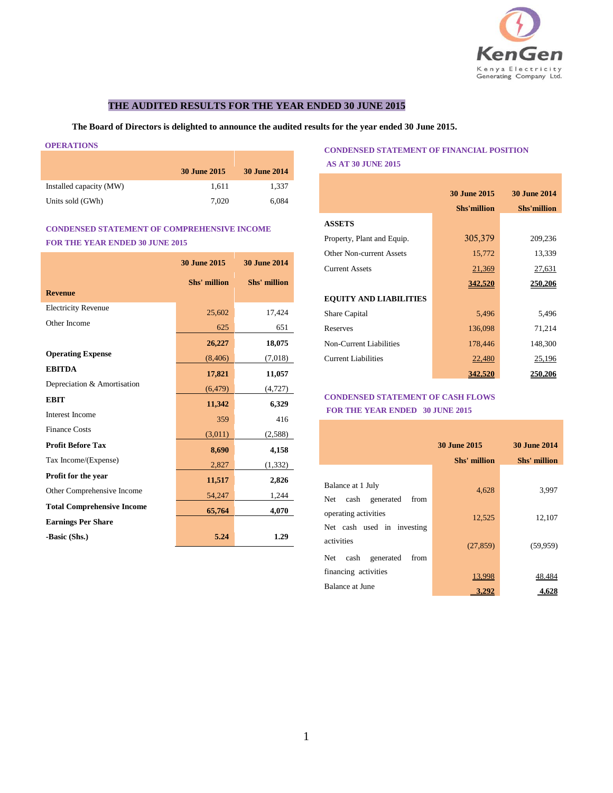

## **THE AUDITED RESULTS FOR THE YEAR ENDED 30 JUNE 2015**

**The Board of Directors is delighted to announce the audited results for the year ended 30 June 2015.**

#### **OPERATIONS**

|                         | <b>30 June 2015</b> | <b>30 June 2014</b> |
|-------------------------|---------------------|---------------------|
| Installed capacity (MW) | 1.611               | 1.337               |
| Units sold (GWh)        | 7.020               | 6,084               |

# **CONDENSED STATEMENT OF COMPREHENSIVE INCOME FOR THE YEAR ENDED 30 JUNE 2015**

|                                   | <b>30 June 2015</b> | <b>30 June 2014</b> |
|-----------------------------------|---------------------|---------------------|
|                                   | Shs' million        | Shs' million        |
| <b>Revenue</b>                    |                     |                     |
| <b>Electricity Revenue</b>        | 25,602              | 17,424              |
| Other Income                      | 625                 | 651                 |
|                                   | 26,227              | 18,075              |
| <b>Operating Expense</b>          | (8, 406)            | (7,018)             |
| <b>EBITDA</b>                     | 17,821              | 11,057              |
| Depreciation & Amortisation       | (6, 479)            | (4, 727)            |
| <b>EBIT</b>                       | 11,342              | 6,329               |
| <b>Interest Income</b>            | 359                 | 416                 |
| <b>Finance Costs</b>              | (3,011)             | (2, 588)            |
| <b>Profit Before Tax</b>          | 8,690               | 4,158               |
| Tax Income/(Expense)              | 2,827               | (1, 332)            |
| Profit for the year               | 11,517              | 2,826               |
| Other Comprehensive Income        | 54,247              | 1,244               |
| <b>Total Comprehensive Income</b> | 65,764              | 4,070               |
| <b>Earnings Per Share</b>         |                     |                     |
| -Basic (Shs.)                     | 5.24                | 1.29                |

## **CONDENSED STATEMENT OF FINANCIAL POSITION AS AT 30 JUNE 2015**

|                                 | <b>30 June 2015</b> | <b>30 June 2014</b> |
|---------------------------------|---------------------|---------------------|
|                                 | <b>Shs'million</b>  | <b>Shs'million</b>  |
| <b>ASSETS</b>                   |                     |                     |
| Property, Plant and Equip.      | 305,379             | 209,236             |
| <b>Other Non-current Assets</b> | 15,772              | 13,339              |
| <b>Current Assets</b>           | 21,369              | 27,631              |
|                                 | 342,520             | 250,206             |
| <b>EQUITY AND LIABILITIES</b>   |                     |                     |
| Share Capital                   | 5,496               | 5,496               |
| Reserves                        | 136,098             | 71,214              |
| Non-Current Liabilities         | 178,446             | 148,300             |
| Current Liabilities             | 22,480              | 25,196              |
|                                 | 342,520             | 250,206             |

### **CONDENSED STATEMENT OF CASH FLOWS FOR THE YEAR ENDED 30 JUNE 2015**

|                                                     | <b>30 June 2015</b><br>Shs' million | <b>30 June 2014</b><br>Shs' million |
|-----------------------------------------------------|-------------------------------------|-------------------------------------|
| Balance at 1 July<br>cash generated<br>from<br>Net. | 4,628                               | 3,997                               |
| operating activities<br>Net cash used in investing  | 12,525                              | 12,107                              |
| activities<br>cash generated<br>Net<br>from         | (27, 859)                           | (59, 959)                           |
| financing activities<br><b>Balance at June</b>      | 13,998<br>3.292                     | 48.484<br>4,628                     |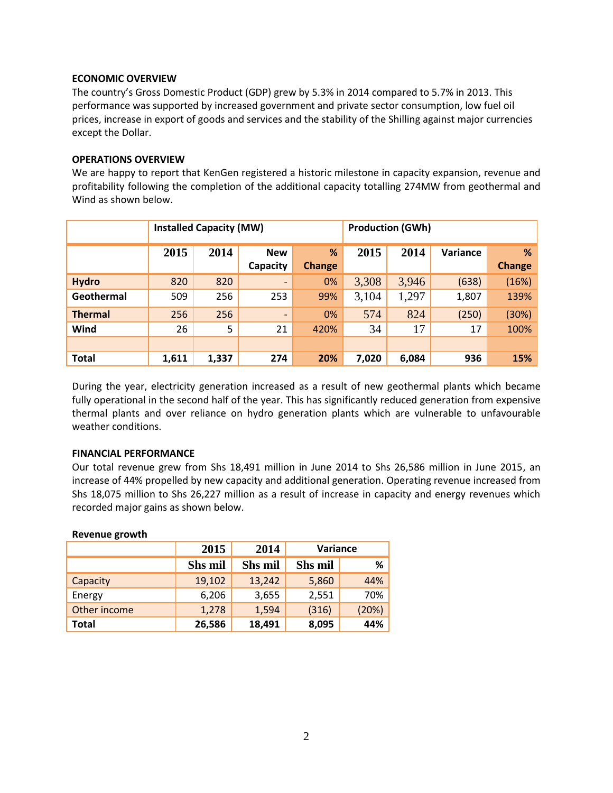## **ECONOMIC OVERVIEW**

The country's Gross Domestic Product (GDP) grew by 5.3% in 2014 compared to 5.7% in 2013. This performance was supported by increased government and private sector consumption, low fuel oil prices, increase in export of goods and services and the stability of the Shilling against major currencies except the Dollar.

### **OPERATIONS OVERVIEW**

We are happy to report that KenGen registered a historic milestone in capacity expansion, revenue and profitability following the completion of the additional capacity totalling 274MW from geothermal and Wind as shown below.

|                | <b>Installed Capacity (MW)</b> |       |                          |               | <b>Production (GWh)</b> |       |          |               |
|----------------|--------------------------------|-------|--------------------------|---------------|-------------------------|-------|----------|---------------|
|                | 2015                           | 2014  | <b>New</b>               | %             | 2015                    | 2014  | Variance | %             |
|                |                                |       | Capacity                 | <b>Change</b> |                         |       |          | <b>Change</b> |
| <b>Hydro</b>   | 820                            | 820   | $\overline{\phantom{a}}$ | 0%            | 3,308                   | 3,946 | (638)    | (16%)         |
| Geothermal     | 509                            | 256   | 253                      | 99%           | 3,104                   | 1,297 | 1,807    | 139%          |
| <b>Thermal</b> | 256                            | 256   | $\qquad \qquad$          | 0%            | 574                     | 824   | (250)    | (30%)         |
| Wind           | 26                             | 5     | 21                       | 420%          | 34                      | 17    | 17       | 100%          |
|                |                                |       |                          |               |                         |       |          |               |
| <b>Total</b>   | 1,611                          | 1,337 | 274                      | 20%           | 7,020                   | 6,084 | 936      | 15%           |

During the year, electricity generation increased as a result of new geothermal plants which became fully operational in the second half of the year. This has significantly reduced generation from expensive thermal plants and over reliance on hydro generation plants which are vulnerable to unfavourable weather conditions.

### **FINANCIAL PERFORMANCE**

Our total revenue grew from Shs 18,491 million in June 2014 to Shs 26,586 million in June 2015, an increase of 44% propelled by new capacity and additional generation. Operating revenue increased from Shs 18,075 million to Shs 26,227 million as a result of increase in capacity and energy revenues which recorded major gains as shown below.

### **Revenue growth**

|              | 2015           | 2014           | Variance       |       |  |
|--------------|----------------|----------------|----------------|-------|--|
|              | <b>Shs mil</b> | <b>Shs mil</b> | <b>Shs mil</b> | %     |  |
| Capacity     | 19,102         | 13,242         | 5,860          | 44%   |  |
| Energy       | 6,206          | 3,655          | 2,551          | 70%   |  |
| Other income | 1,278          | 1,594          | (316)          | (20%) |  |
| Total        | 26,586         | 18,491         | 8,095          | 44%   |  |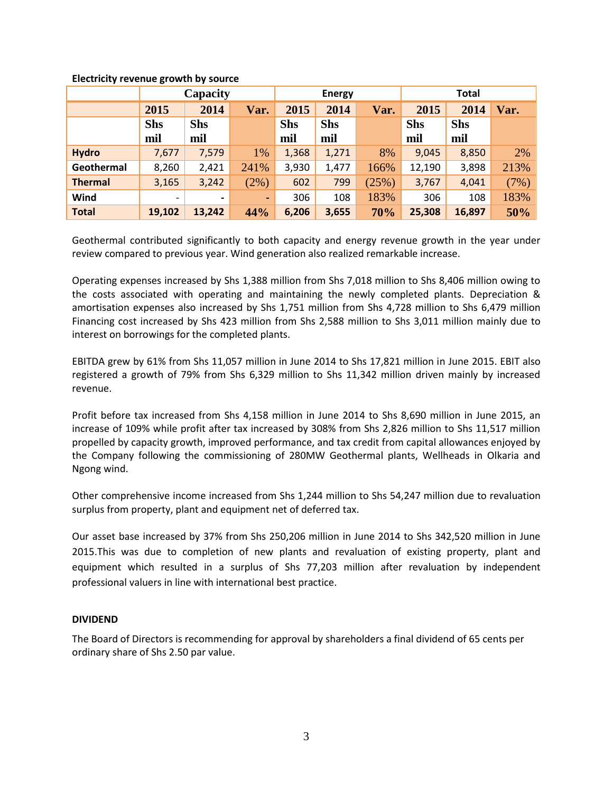|                | Capacity                 |                |                | <b>Energy</b> |            |       | <b>Total</b> |            |      |
|----------------|--------------------------|----------------|----------------|---------------|------------|-------|--------------|------------|------|
|                | 2015                     | 2014           | Var.           | 2015          | 2014       | Var.  | 2015         | 2014       | Var. |
|                | <b>Shs</b>               | <b>Shs</b>     |                | <b>Shs</b>    | <b>Shs</b> |       | <b>Shs</b>   | <b>Shs</b> |      |
|                | mil                      | mil            |                | mil           | mil        |       | mil          | mil        |      |
| <b>Hydro</b>   | 7,677                    | 7,579          | 1%             | 1,368         | 1,271      | 8%    | 9,045        | 8,850      | 2%   |
| Geothermal     | 8,260                    | 2,421          | 241%           | 3,930         | 1,477      | 166%  | 12,190       | 3,898      | 213% |
| <b>Thermal</b> | 3,165                    | 3,242          | (2%)           | 602           | 799        | (25%) | 3,767        | 4,041      | (7%) |
| Wind           | $\overline{\phantom{a}}$ | $\blacksquare$ | $\blacksquare$ | 306           | 108        | 183%  | 306          | 108        | 183% |
| <b>Total</b>   | 19,102                   | 13,242         | 44%            | 6,206         | 3,655      | 70%   | 25,308       | 16,897     | 50%  |

## **Electricity revenue growth by source**

Geothermal contributed significantly to both capacity and energy revenue growth in the year under review compared to previous year. Wind generation also realized remarkable increase.

Operating expenses increased by Shs 1,388 million from Shs 7,018 million to Shs 8,406 million owing to the costs associated with operating and maintaining the newly completed plants. Depreciation & amortisation expenses also increased by Shs 1,751 million from Shs 4,728 million to Shs 6,479 million Financing cost increased by Shs 423 million from Shs 2,588 million to Shs 3,011 million mainly due to interest on borrowings for the completed plants.

EBITDA grew by 61% from Shs 11,057 million in June 2014 to Shs 17,821 million in June 2015. EBIT also registered a growth of 79% from Shs 6,329 million to Shs 11,342 million driven mainly by increased revenue.

Profit before tax increased from Shs 4,158 million in June 2014 to Shs 8,690 million in June 2015, an increase of 109% while profit after tax increased by 308% from Shs 2,826 million to Shs 11,517 million propelled by capacity growth, improved performance, and tax credit from capital allowances enjoyed by the Company following the commissioning of 280MW Geothermal plants, Wellheads in Olkaria and Ngong wind.

Other comprehensive income increased from Shs 1,244 million to Shs 54,247 million due to revaluation surplus from property, plant and equipment net of deferred tax.

Our asset base increased by 37% from Shs 250,206 million in June 2014 to Shs 342,520 million in June 2015.This was due to completion of new plants and revaluation of existing property, plant and equipment which resulted in a surplus of Shs 77,203 million after revaluation by independent professional valuers in line with international best practice.

# **DIVIDEND**

The Board of Directors is recommending for approval by shareholders a final dividend of 65 cents per ordinary share of Shs 2.50 par value.